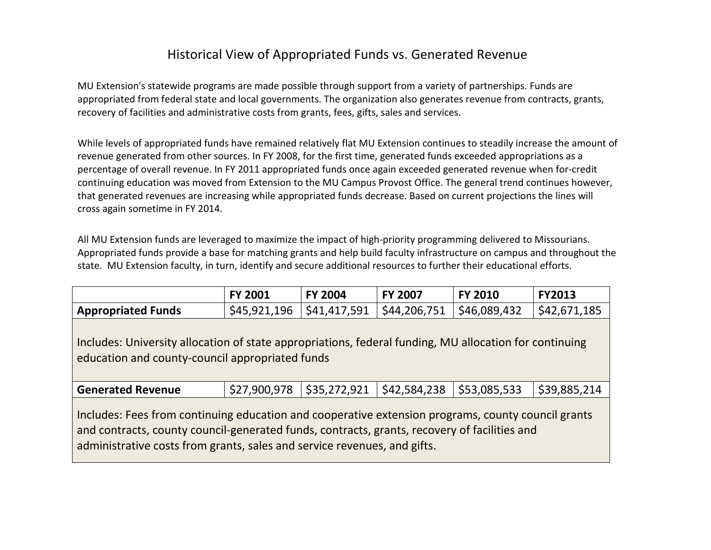## Historical View of Appropriated Funds vs. Generated Revenue

MU Extension's statewide programs are made possible through support from a variety of partnerships. Funds are appropriated from federal state and local governments. The organization also generates revenue from contracts, grants, recovery of facilities and administrative costs from grants, fees, gifts, sales and services.

While levels of appropriated funds have remained relatively flat MU Extension continues to steadily increase the amount of revenue generated from other sources. In FY 2008, for the first time, generated funds exceeded appropriations as a percentage of overall revenue. In FY 2011 appropriated funds once again exceeded generated revenue when for-credit continuing education was moved from Extension to the MU Campus Provost Office. The general trend continues however, that generated revenues are increasing while appropriated funds decrease. Based on current projections the lines will cross again sometime in FY 2014.

All MU Extension funds are leveraged to maximize the impact of high-priority programming delivered to Missourians. Appropriated funds provide a base for matching grants and help build faculty infrastructure on campus and throughout the state. MU Extension faculty, in turn, identify and secure additional resources to further their educational efforts.

|                                                                                                                                                                                                                                                                                | <b>FY 2001</b> | <b>FY 2004</b> | <b>FY 2007</b> | <b>FY 2010</b> | <b>FY2013</b> |
|--------------------------------------------------------------------------------------------------------------------------------------------------------------------------------------------------------------------------------------------------------------------------------|----------------|----------------|----------------|----------------|---------------|
| <b>Appropriated Funds</b>                                                                                                                                                                                                                                                      | \$45,921,196   | \$41,417,591   | \$44,206,751   | \$46,089,432   | \$42,671,185  |
| Includes: University allocation of state appropriations, federal funding, MU allocation for continuing<br>education and county-council appropriated funds                                                                                                                      |                |                |                |                |               |
| <b>Generated Revenue</b>                                                                                                                                                                                                                                                       | \$27,900,978   | \$35,272,921   | \$42,584,238   | \$53,085,533   | \$39,885,214  |
| Includes: Fees from continuing education and cooperative extension programs, county council grants<br>and contracts, county council-generated funds, contracts, grants, recovery of facilities and<br>administrative costs from grants, sales and service revenues, and gifts. |                |                |                |                |               |